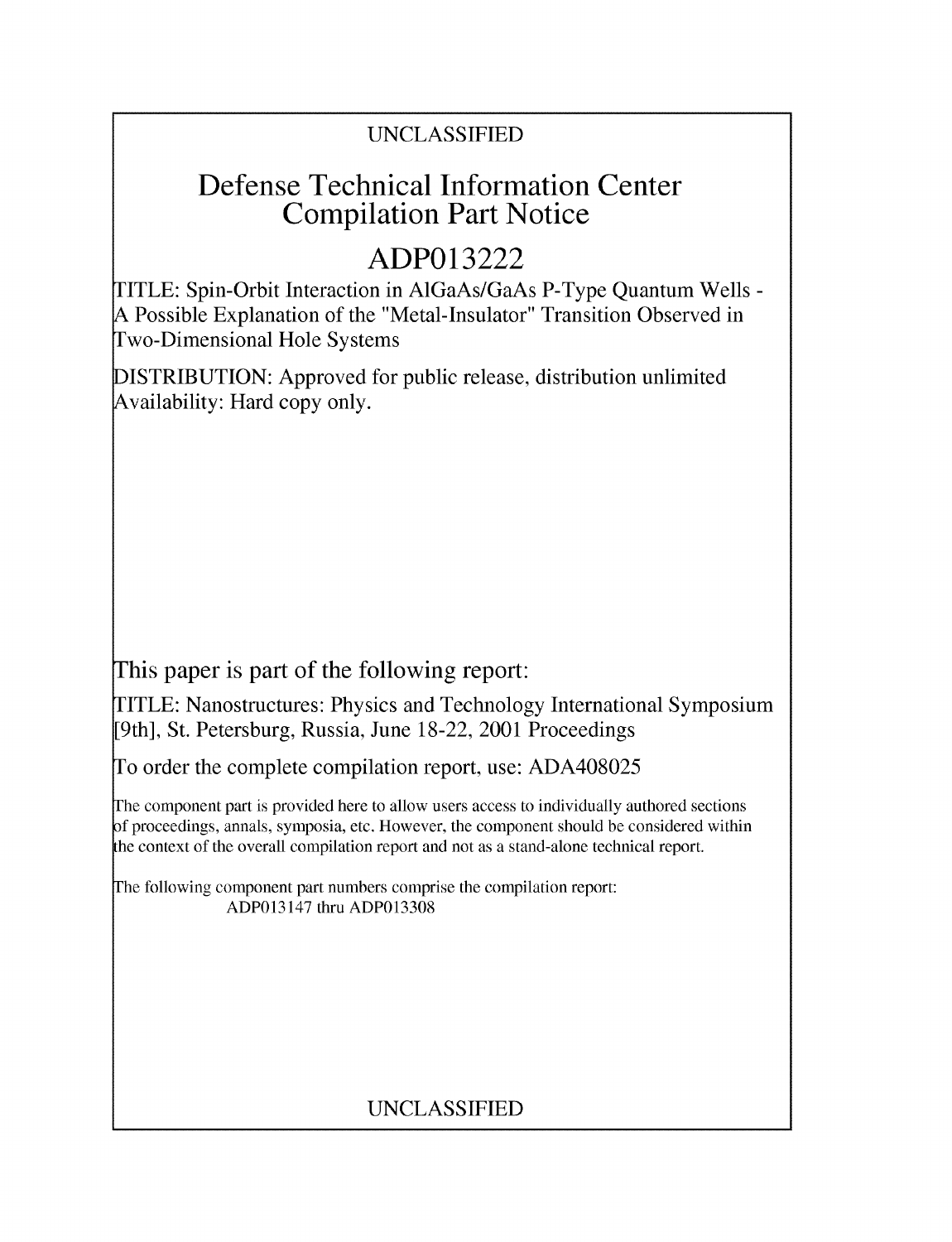## UNCLASSIFIED

## **Defense Technical Information Center Compilation Part Notice**

# **ADP013222**

TITLE: Spin-Orbit Interaction in AlGaAs/GaAs P-Type Quantum Wells - **A** Possible Explanation of the "Metal-Insulator" Transition Observed in Two-Dimensional Hole Systems

DISTRIBUTION: Approved for public release, distribution unlimited Availability: Hard copy only.

This paper is part of the following report:

TITLE: Nanostructures: Physics and Technology International Symposium [9th], St. Petersburg, Russia, June 18-22, 2001 Proceedings

To order the complete compilation report, use: ADA408025

The component part is provided here to allow users access to individually authored sections f proceedings, annals, symposia, etc. However, the component should be considered within the context of the overall compilation report and not as a stand-alone technical report.

The following component part numbers comprise the compilation report: ADP013147 thru ADP013308

## UNCLASSIFIED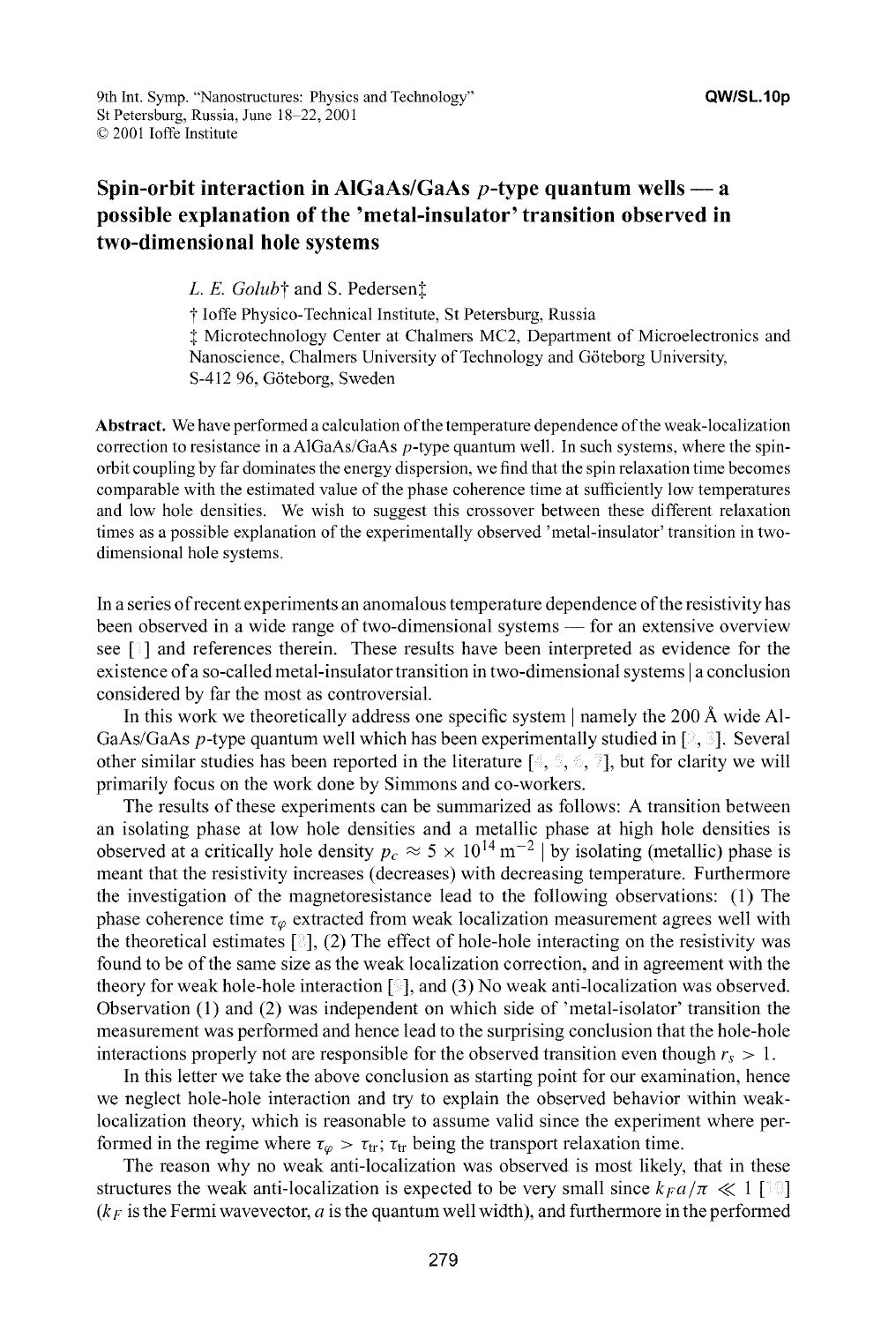### **Spin-orbit interaction in AlGaAs/GaAs p-type quantum wells - a possible explanation of the 'metal-insulator' transition observed in two-dimensional hole systems**

*L. E. Golub*† and S. Pedersen<sup>†</sup>

t loffe Physico-Technical Institute, St Petersburg, Russia **I** Microtechnology Center at Chalmers MC2, Department of Microelectronics and Nanoscience, Chalmers University of Technology and G6teborg University, S-412 96, Göteborg, Sweden

**Abstract.** We have performed a calculation of the temperature dependence of the weak-localization correction to resistance in a AlGaAs/GaAs p-type quantum well. In such systems, where the spinorbit coupling by far dominates the energy dispersion, we find that the spin relaxation time becomes comparable with the estimated value of the phase coherence time at sufficiently low temperatures and low hole densities. We wish to suggest this crossover between these different relaxation times as a possible explanation of the experimentally observed 'metal-insulator' transition in twodimensional hole systems.

In a series of recent experiments an anomalous temperature dependence of the resistivity has been observed in a wide range of two-dimensional systems **-** for an extensive overview see **[ ]** and references therein. These results have been interpreted as evidence for the existence of a so-called metal-insulator transition in two-dimensional systems **I** a conclusion considered by far the most as controversial.

In this work we theoretically address one specific system **I** namely the 200 A wide **Al-**GaAs/GaAs p-type quantum well which has been experimentally studied in **[** , **].** Several other similar studies has been reported in the literature  $[$ ,  $\mathcal{I}, \mathcal{I}, \mathcal{I}$ , but for clarity we will primarily focus on the work done by Simmons and co-workers.

The results of these experiments can be summarized as follows: A transition between an isolating phase at low hole densities and a metallic phase at high hole densities is observed at a critically hole density  $p_c \approx 5 \times 10^{14} \text{ m}^{-2}$  by isolating (metallic) phase is meant that the resistivity increases (decreases) with decreasing temperature. Furthermore the investigation of the magnetoresistance lead to the following observations: (1) The phase coherence time  $\tau_{\varphi}$  extracted from weak localization measurement agrees well with the theoretical estimates  $\lceil \frac{3}{2} \rceil$ , (2) The effect of hole-hole interacting on the resistivity was found to be of the same size as the weak localization correction, and in agreement with the theory for weak hole-hole interaction **[ ],** and (3) No weak anti-localization was observed. Observation (1) and (2) was independent on which side of 'metal-isolator' transition the measurement was performed and hence lead to the surprising conclusion that the hole-hole interactions properly not are responsible for the observed transition even though  $r_s > 1$ .

In this letter we take the above conclusion as starting point for our examination, hence we neglect hole-hole interaction and try to explain the observed behavior within weaklocalization theory, which is reasonable to assume valid since the experiment where performed in the regime where  $\tau_{\varphi} > \tau_{tr}$ ;  $\tau_{tr}$  being the transport relaxation time.

The reason why no weak anti-localization was observed is most likely, that in these structures the weak anti-localization is expected to be very small since  $k_F a/\pi \ll 1$  [10]  $(k_F)$  is the Fermi wavevector, a is the quantum well width), and furthermore in the performed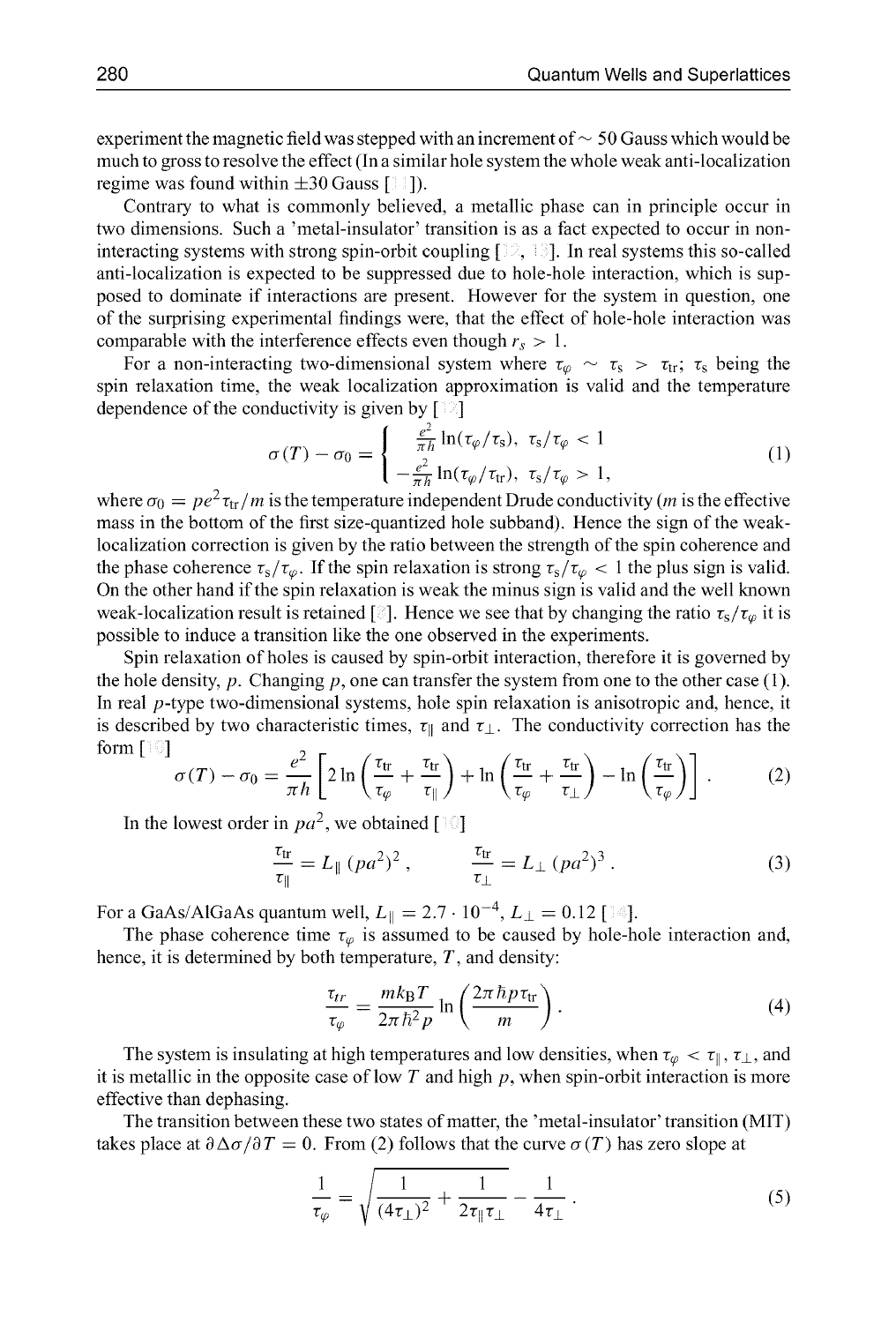experiment the magnetic field was stepped with an increment of  $\sim$  50 Gauss which would be much to gross to resolve the effect (In a similar hole system the whole weak anti-localization regime was found within **±30** Gauss [ **]).**

Contrary to what is commonly believed, a metallic phase can in principle occur in two dimensions. Such a 'metal-insulator' transition is as a fact expected to occur in noninteracting systems with strong spin-orbit coupling [ **, ].** In real systems this so-called anti-localization is expected to be suppressed due to hole-hole interaction, which is supposed to dominate if interactions are present. However for the system in question, one of the surprising experimental findings were, that the effect of hole-hole interaction was comparable with the interference effects even though  $r_s > 1$ .

For a non-interacting two-dimensional system where  $\tau_{\varphi} \sim \tau_s > \tau_{tr}$ ;  $\tau_s$  being the spin relaxation time, the weak localization approximation is valid and the temperature dependence of the conductivity is given by  $[\exists]$ 

$$
\sigma(T) - \sigma_0 = \begin{cases}\n\frac{e^2}{\pi h} \ln(\tau_\varphi/\tau_s), & \tau_s/\tau_\varphi < 1 \\
-\frac{e^2}{\pi h} \ln(\tau_\varphi/\tau_{tr}), & \tau_s/\tau_\varphi > 1,\n\end{cases}
$$
\n(1)

where  $\sigma_0 = pe^2 \tau_{tr}/m$  is the temperature independent Drude conductivity *(m* is the effective mass in the bottom of the first size-quantized hole subband). Hence the sign of the weaklocalization correction is given by the ratio between the strength of the spin coherence and the phase coherence  $\tau_s/\tau_\varphi$ . If the spin relaxation is strong  $\tau_s/\tau_\varphi < 1$  the plus sign is valid. On the other hand if the spin relaxation is weak the minus sign is valid and the well known weak-localization result is retained [8]. Hence we see that by changing the ratio  $\tau_s/\tau_\varphi$  it is possible to induce a transition like the one observed in the experiments.

Spin relaxation of holes is caused by spin-orbit interaction, therefore it is governed by the hole density, p. Changing p, one can transfer the system from one to the other case  $(1)$ . In real  $p$ -type two-dimensional systems, hole spin relaxation is anisotropic and, hence, it is described by two characteristic times,  $\tau_{\parallel}$  and  $\tau_{\perp}$ . The conductivity correction has the<br>form  $\begin{bmatrix} \frac{1}{2} \end{bmatrix}$ 

$$
\sigma(T) - \sigma_0 = \frac{e^2}{\pi h} \left[ 2 \ln \left( \frac{\tau_{tr}}{\tau_{\varphi}} + \frac{\tau_{tr}}{\tau_{\parallel}} \right) + \ln \left( \frac{\tau_{tr}}{\tau_{\varphi}} + \frac{\tau_{tr}}{\tau_{\perp}} \right) - \ln \left( \frac{\tau_{tr}}{\tau_{\varphi}} \right) \right]. \tag{2}
$$

In the lowest order in  $pa^2$ , we obtained  $\lceil \cdot \cdot \rceil$ 

$$
\frac{\tau_{tr}}{\tau_{\parallel}} = L_{\parallel} (p a^2)^2 , \qquad \frac{\tau_{tr}}{\tau_{\perp}} = L_{\perp} (p a^2)^3 . \qquad (3)
$$

For a GaAs/AlGaAs quantum well,  $L_{\parallel}=2.7\cdot 10^{-4}, L_{\perp}=0.12$  [14].

The phase coherence time  $\tau_{\varphi}$  is assumed to be caused by hole-hole interaction and, hence, it is determined by both temperature, *T,* and density:

$$
\frac{\tau_{tr}}{\tau_{\varphi}} = \frac{mk_{\rm B}T}{2\pi\hbar^2 p} \ln\left(\frac{2\pi\hbar p\tau_{\rm tr}}{m}\right). \tag{4}
$$

The system is insulating at high temperatures and low densities, when  $\tau_{\varphi} < \tau_{\parallel}, \tau_{\perp}$ , and it is metallic in the opposite case of low  $T$  and high  $p$ , when spin-orbit interaction is more effective than dephasing.

The transition between these two states of matter, the 'metal-insulator' transition (MIT) takes place at  $\partial \Delta \sigma / \partial T = 0$ . From (2) follows that the curve  $\sigma(T)$  has zero slope at

$$
\frac{1}{\tau_{\varphi}} = \sqrt{\frac{1}{(4\tau_{\perp})^2} + \frac{1}{2\tau_{\parallel}\tau_{\perp}}} - \frac{1}{4\tau_{\perp}}.
$$
\n(5)